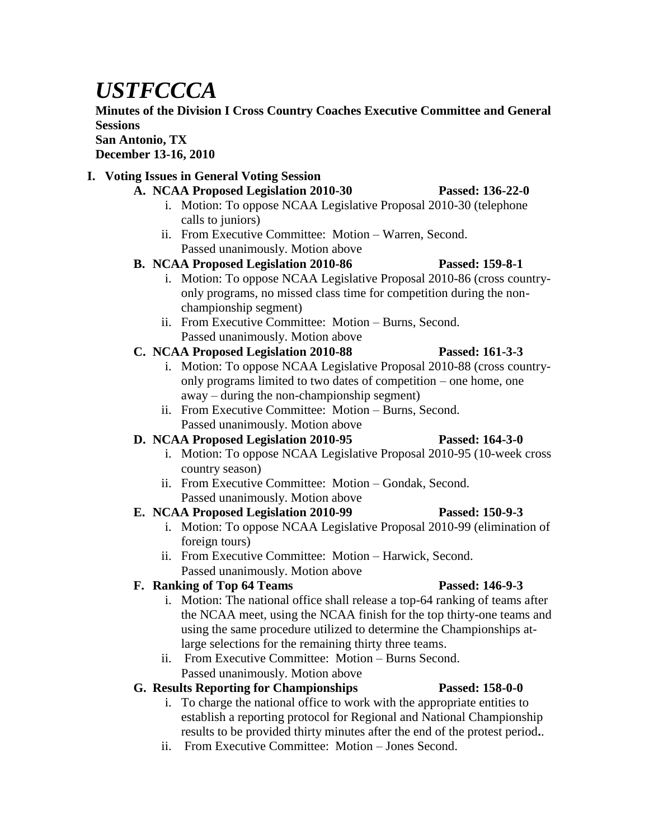# *USTFCCCA*

**Minutes of the Division I Cross Country Coaches Executive Committee and General Sessions**

**San Antonio, TX**

**December 13-16, 2010**

### **I. Voting Issues in General Voting Session**

- **A. NCAA Proposed Legislation 2010-30 Passed: 136-22-0**
	- i. Motion: To oppose NCAA Legislative Proposal 2010-30 (telephone calls to juniors)
	- ii. From Executive Committee: Motion Warren, Second. Passed unanimously. Motion above

## **B. NCAA Proposed Legislation 2010-86 Passed: 159-8-1**

- i. Motion: To oppose NCAA Legislative Proposal 2010-86 (cross countryonly programs, no missed class time for competition during the nonchampionship segment)
- ii. From Executive Committee: Motion Burns, Second. Passed unanimously. Motion above

## **C. NCAA Proposed Legislation 2010-88 Passed: 161-3-3**

- i. Motion: To oppose NCAA Legislative Proposal 2010-88 (cross countryonly programs limited to two dates of competition – one home, one away – during the non-championship segment)
- ii. From Executive Committee: Motion Burns, Second. Passed unanimously. Motion above

# **D. NCAA Proposed Legislation 2010-95 Passed: 164-3-0**

- i. Motion: To oppose NCAA Legislative Proposal 2010-95 (10-week cross country season)
- ii. From Executive Committee: Motion Gondak, Second. Passed unanimously. Motion above

# **E. NCAA Proposed Legislation 2010-99 Passed: 150-9-3**

- i. Motion: To oppose NCAA Legislative Proposal 2010-99 (elimination of foreign tours)
- ii. From Executive Committee: Motion Harwick, Second. Passed unanimously. Motion above

# **F. Ranking of Top 64 Teams Passed: 146-9-3**

- i. Motion: The national office shall release a top-64 ranking of teams after the NCAA meet, using the NCAA finish for the top thirty-one teams and using the same procedure utilized to determine the Championships atlarge selections for the remaining thirty three teams.
- ii. From Executive Committee: Motion Burns Second. Passed unanimously. Motion above

# **G. Results Reporting for Championships Passed: 158-0-0**

- i. To charge the national office to work with the appropriate entities to establish a reporting protocol for Regional and National Championship results to be provided thirty minutes after the end of the protest period**.**.
- ii. From Executive Committee: Motion Jones Second.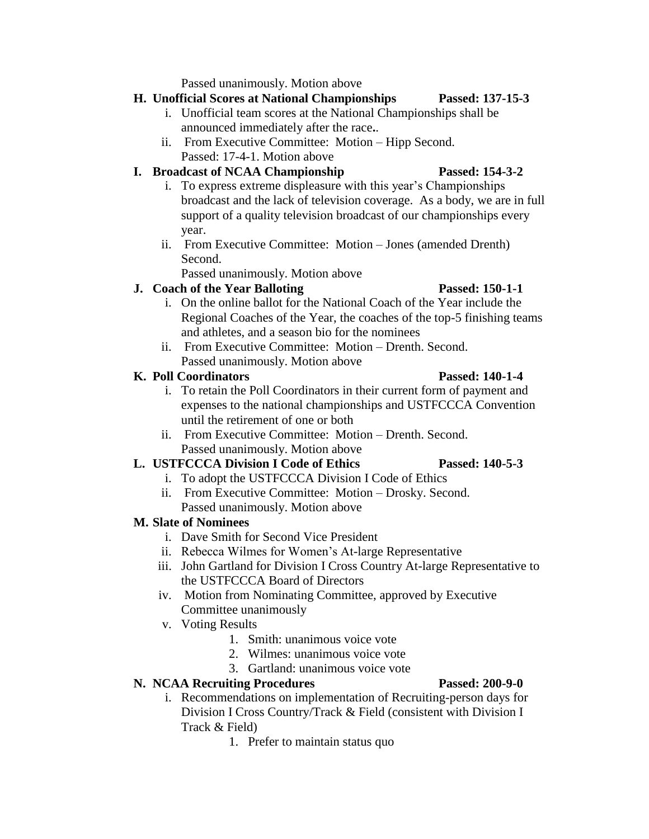Passed unanimously. Motion above

### **H. Unofficial Scores at National Championships Passed: 137-15-3**

- i. Unofficial team scores at the National Championships shall be announced immediately after the race**.**.
- ii. From Executive Committee: Motion Hipp Second. Passed: 17-4-1. Motion above

### **I. Broadcast of NCAA Championship Passed: 154-3-2**

- i. To express extreme displeasure with this year's Championships broadcast and the lack of television coverage. As a body, we are in full support of a quality television broadcast of our championships every year.
- ii. From Executive Committee: Motion Jones (amended Drenth) Second.

Passed unanimously. Motion above

### **J. Coach of the Year Balloting Passed: 150-1-1**

### i. On the online ballot for the National Coach of the Year include the Regional Coaches of the Year, the coaches of the top-5 finishing teams and athletes, and a season bio for the nominees

ii. From Executive Committee: Motion – Drenth. Second. Passed unanimously. Motion above

## **K. Poll Coordinators Passed: 140-1-4**

### i. To retain the Poll Coordinators in their current form of payment and expenses to the national championships and USTFCCCA Convention until the retirement of one or both

ii. From Executive Committee: Motion – Drenth. Second. Passed unanimously. Motion above

# **L. USTFCCCA Division I Code of Ethics Passed: 140-5-3**

- i. To adopt the USTFCCCA Division I Code of Ethics
- ii. From Executive Committee: Motion Drosky. Second. Passed unanimously. Motion above

# **M. Slate of Nominees**

- i. Dave Smith for Second Vice President
- ii. Rebecca Wilmes for Women's At-large Representative
- iii. John Gartland for Division I Cross Country At-large Representative to the USTFCCCA Board of Directors
- iv. Motion from Nominating Committee, approved by Executive Committee unanimously
- v. Voting Results
	- 1. Smith: unanimous voice vote
	- 2. Wilmes: unanimous voice vote
	- 3. Gartland: unanimous voice vote

# **N. NCAA Recruiting Procedures Passed: 200-9-0**

- i. Recommendations on implementation of Recruiting-person days for Division I Cross Country/Track & Field (consistent with Division I Track & Field)
	- 1. Prefer to maintain status quo



- 
- 
-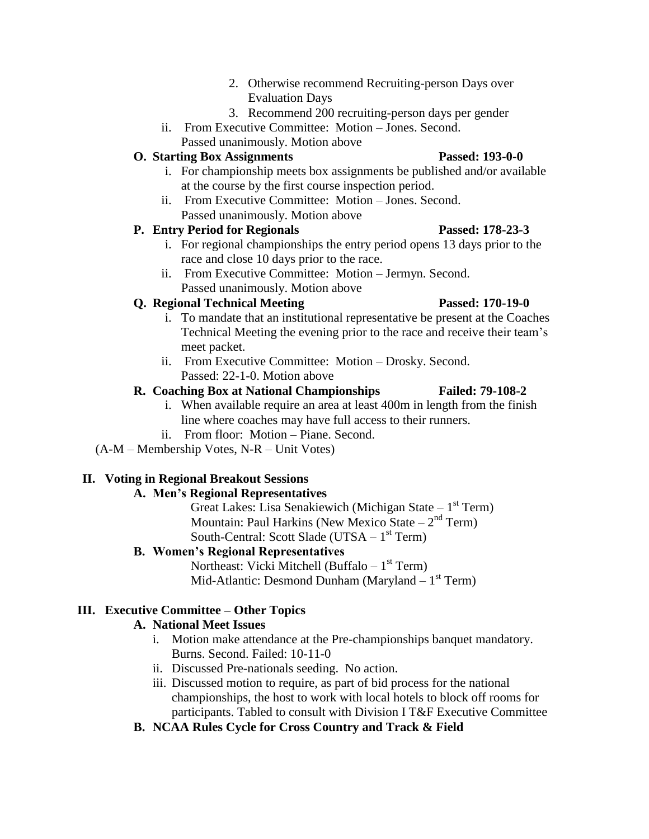- 2. Otherwise recommend Recruiting-person Days over Evaluation Days
- 3. Recommend 200 recruiting-person days per gender
- ii. From Executive Committee: Motion Jones. Second. Passed unanimously. Motion above

### **O. Starting Box Assignments Passed: 193-0-0**

- i. For championship meets box assignments be published and/or available at the course by the first course inspection period.
- ii. From Executive Committee: Motion Jones. Second. Passed unanimously. Motion above

### **P. Entry Period for Regionals Passed: 178-23-3**

- i. For regional championships the entry period opens 13 days prior to the race and close 10 days prior to the race.
- ii. From Executive Committee: Motion Jermyn. Second. Passed unanimously. Motion above

### **Q. Regional Technical Meeting Passed: 170-19-0**

- i. To mandate that an institutional representative be present at the Coaches Technical Meeting the evening prior to the race and receive their team's meet packet.
- ii. From Executive Committee: Motion Drosky. Second. Passed: 22-1-0. Motion above

### **R. Coaching Box at National Championships Failed: 79-108-2**

- i. When available require an area at least 400m in length from the finish line where coaches may have full access to their runners.
- ii. From floor: Motion Piane. Second.

(A-M – Membership Votes, N-R – Unit Votes)

### **II. Voting in Regional Breakout Sessions**

### **A. Men's Regional Representatives**

Great Lakes: Lisa Senakiewich (Michigan State - 1<sup>st</sup> Term) Mountain: Paul Harkins (New Mexico State  $-2<sup>nd</sup>$  Term) South-Central: Scott Slade (UTSA - 1<sup>st</sup> Term)

### **B. Women's Regional Representatives**

Northeast: Vicki Mitchell (Buffalo – 1<sup>st</sup> Term) Mid-Atlantic: Desmond Dunham (Maryland – 1<sup>st</sup> Term)

### **III. Executive Committee – Other Topics**

### **A. National Meet Issues**

- i. Motion make attendance at the Pre-championships banquet mandatory. Burns. Second. Failed: 10-11-0
- ii. Discussed Pre-nationals seeding. No action.
- iii. Discussed motion to require, as part of bid process for the national championships, the host to work with local hotels to block off rooms for participants. Tabled to consult with Division I T&F Executive Committee
- **B. NCAA Rules Cycle for Cross Country and Track & Field**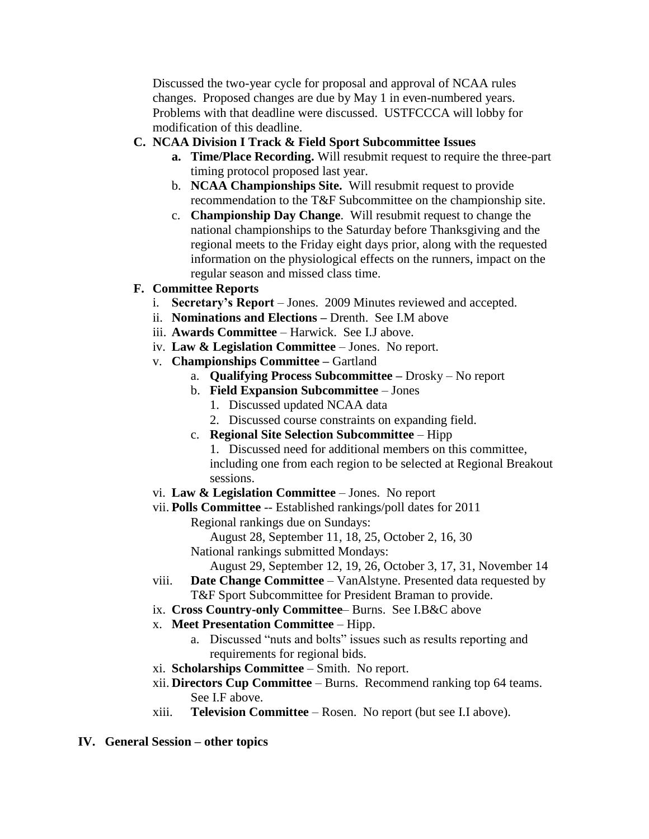Discussed the two-year cycle for proposal and approval of NCAA rules changes. Proposed changes are due by May 1 in even-numbered years. Problems with that deadline were discussed. USTFCCCA will lobby for modification of this deadline.

### **C. NCAA Division I Track & Field Sport Subcommittee Issues**

- **a. Time/Place Recording.** Will resubmit request to require the three-part timing protocol proposed last year.
- b. **NCAA Championships Site.** Will resubmit request to provide recommendation to the T&F Subcommittee on the championship site.
- c. **Championship Day Change**. Will resubmit request to change the national championships to the Saturday before Thanksgiving and the regional meets to the Friday eight days prior, along with the requested information on the physiological effects on the runners, impact on the regular season and missed class time.

### **F. Committee Reports**

- i. **Secretary's Report** Jones. 2009 Minutes reviewed and accepted.
- ii. **Nominations and Elections –** Drenth. See I.M above
- iii. **Awards Committee** Harwick. See I.J above.
- iv. **Law & Legislation Committee**  Jones. No report.
- v. **Championships Committee –** Gartland
	- a. **Qualifying Process Subcommittee –** Drosky No report
	- b. **Field Expansion Subcommittee** Jones
		- 1. Discussed updated NCAA data
		- 2. Discussed course constraints on expanding field.
	- c. **Regional Site Selection Subcommittee** Hipp 1. Discussed need for additional members on this committee, including one from each region to be selected at Regional Breakout sessions.
- vi. **Law & Legislation Committee** Jones. No report
- vii. **Polls Committee** -- Established rankings/poll dates for 2011
	- Regional rankings due on Sundays:

August 28, September 11, 18, 25, October 2, 16, 30 National rankings submitted Mondays:

August 29, September 12, 19, 26, October 3, 17, 31, November 14

- viii. **Date Change Committee**  VanAlstyne. Presented data requested by T&F Sport Subcommittee for President Braman to provide.
- ix. **Cross Country-only Committee** Burns. See I.B&C above
- x. **Meet Presentation Committee**  Hipp.
	- a. Discussed "nuts and bolts" issues such as results reporting and requirements for regional bids.
- xi. **Scholarships Committee** Smith. No report.
- xii. **Directors Cup Committee**  Burns. Recommend ranking top 64 teams. See I.F above.
- xiii. **Television Committee**  Rosen. No report (but see I.I above).
- **IV. General Session – other topics**